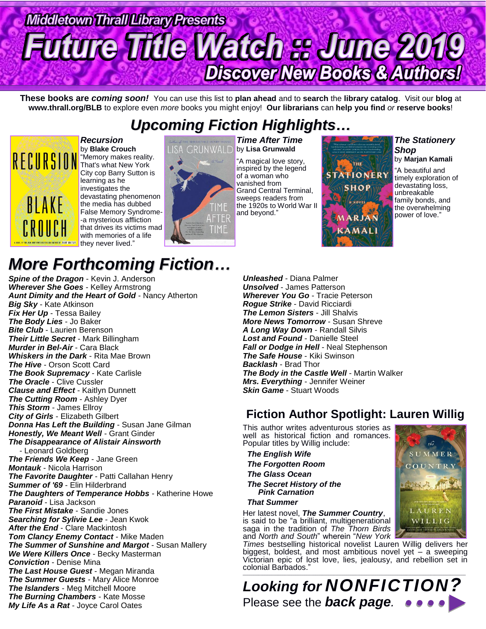# **Middletown Thrall Library Presents uture Title Watch :: June 2019 Discover New Books & Authors!**

**These books are** *coming soon!* You can use this list to **plan ahead** and to **search** the **library catalog**. Visit our **blog** at **www.thrall.org/BLB** to explore even *more* books you might enjoy! **Our librarians** can **help you find** *or* **reserve books**!

## *Upcoming Fiction Highlights…*



*Recursion* by **Blake Crouch** "Memory makes reality. That's what New York City cop Barry Sutton is learning as he investigates the devastating phenomenon the media has dubbed False Memory Syndrome- -a mysterious affliction that drives its victims mad with memories of a life they never lived."

# **ISA GRUNWALD** by Lisa Grunwald **TIME** and beyond." AFTER TIME

*Time After Time* "A magical love story, inspired by the legend of a woman who vanished from Grand Central Terminal, sweeps readers from the 1920s to World War II



#### *The Stationery Shop*

by **Marjan Kamali** "A beautiful and timely exploration of devastating loss, unbreakable family bonds, and the overwhelming power of love."

## *More Forthcoming Fiction…*

*Spine of the Dragon* - Kevin J. Anderson *Wherever She Goes* - Kelley Armstrong *Aunt Dimity and the Heart of Gold* - Nancy Atherton *Big Sky* - Kate Atkinson *Fix Her Up* - Tessa Bailey *The Body Lies* - Jo Baker *Bite Club* - Laurien Berenson *Their Little Secret* - Mark Billingham *Murder in Bel-Air* - Cara Black *Whiskers in the Dark* - Rita Mae Brown *The Hive* - Orson Scott Card *The Book Supremacy* - Kate Carlisle *The Oracle* - Clive Cussler *Clause and Effect* - Kaitlyn Dunnett *The Cutting Room* - Ashley Dyer *This Storm* - James Ellroy *City of Girls* - Elizabeth Gilbert *Donna Has Left the Building* - Susan Jane Gilman *Honestly, We Meant Well* - Grant Ginder *The Disappearance of Alistair Ainsworth* - Leonard Goldberg *The Friends We Keep* - Jane Green *Montauk* - Nicola Harrison *The Favorite Daughter* - Patti Callahan Henry *Summer of '69* - Elin Hilderbrand *The Daughters of Temperance Hobbs* - Katherine Howe *Paranoid* - Lisa Jackson *The First Mistake* - Sandie Jones *Searching for Sylivie Lee* - Jean Kwok *After the End* - Clare Mackintosh *Tom Clancy Enemy Contact* - Mike Maden *The Summer of Sunshine and Margot* - Susan Mallery *We Were Killers Once* - Becky Masterman *Conviction* - Denise Mina *The Last House Guest* - Megan Miranda *The Summer Guests* - Mary Alice Monroe *The Islanders* - Meg Mitchell Moore *The Burning Chambers* - Kate Mosse *My Life As a Rat* - Joyce Carol Oates

*Unleashed* - Diana Palmer *Unsolved* - James Patterson *Wherever You Go* - Tracie Peterson *Rogue Strike* - David Ricciardi *The Lemon Sisters* - Jill Shalvis *More News Tomorrow* - Susan Shreve *A Long Way Down* - Randall Silvis *Lost and Found* - Danielle Steel *Fall or Dodge in Hell* - Neal Stephenson *The Safe House* - Kiki Swinson *Backlash* - Brad Thor *The Body in the Castle Well* - Martin Walker *Mrs. Everything* - Jennifer Weiner *Skin Game* - Stuart Woods

### **Fiction Author Spotlight: Lauren Willig**

This author writes adventurous stories as well as historical fiction and romances. Popular titles by Willig include:

*The English Wife*

 *The Forgotten Room The Glass Ocean* 

 *The Secret History of the Pink Carnation*

 *That Summer*

Her latest novel, *The Summer Country*, is said to be "a brilliant, multigenerational saga in the tradition of *The Thorn Birds* and *North and South*" wherein "*New York* 

*Times* bestselling historical novelist Lauren Willig delivers her biggest, boldest, and most ambitious novel yet - a sweeping Victorian epic of lost love, lies, jealousy, and rebellion set in colonial Barbados."  $\_$  ,  $\_$  ,  $\_$  ,  $\_$  ,  $\_$  ,  $\_$  ,  $\_$  ,  $\_$  ,  $\_$  ,  $\_$  ,  $\_$  ,  $\_$  ,  $\_$  ,  $\_$  ,  $\_$  ,  $\_$  ,  $\_$  ,  $\_$  ,  $\_$  ,  $\_$  ,  $\_$  ,  $\_$  ,  $\_$  ,  $\_$  ,  $\_$  ,  $\_$  ,  $\_$  ,  $\_$  ,  $\_$  ,  $\_$  ,  $\_$  ,  $\_$  ,  $\_$  ,  $\_$  ,  $\_$  ,  $\_$  ,  $\_$  ,

*Looking for NONFICTION?* Please see the *back page.*